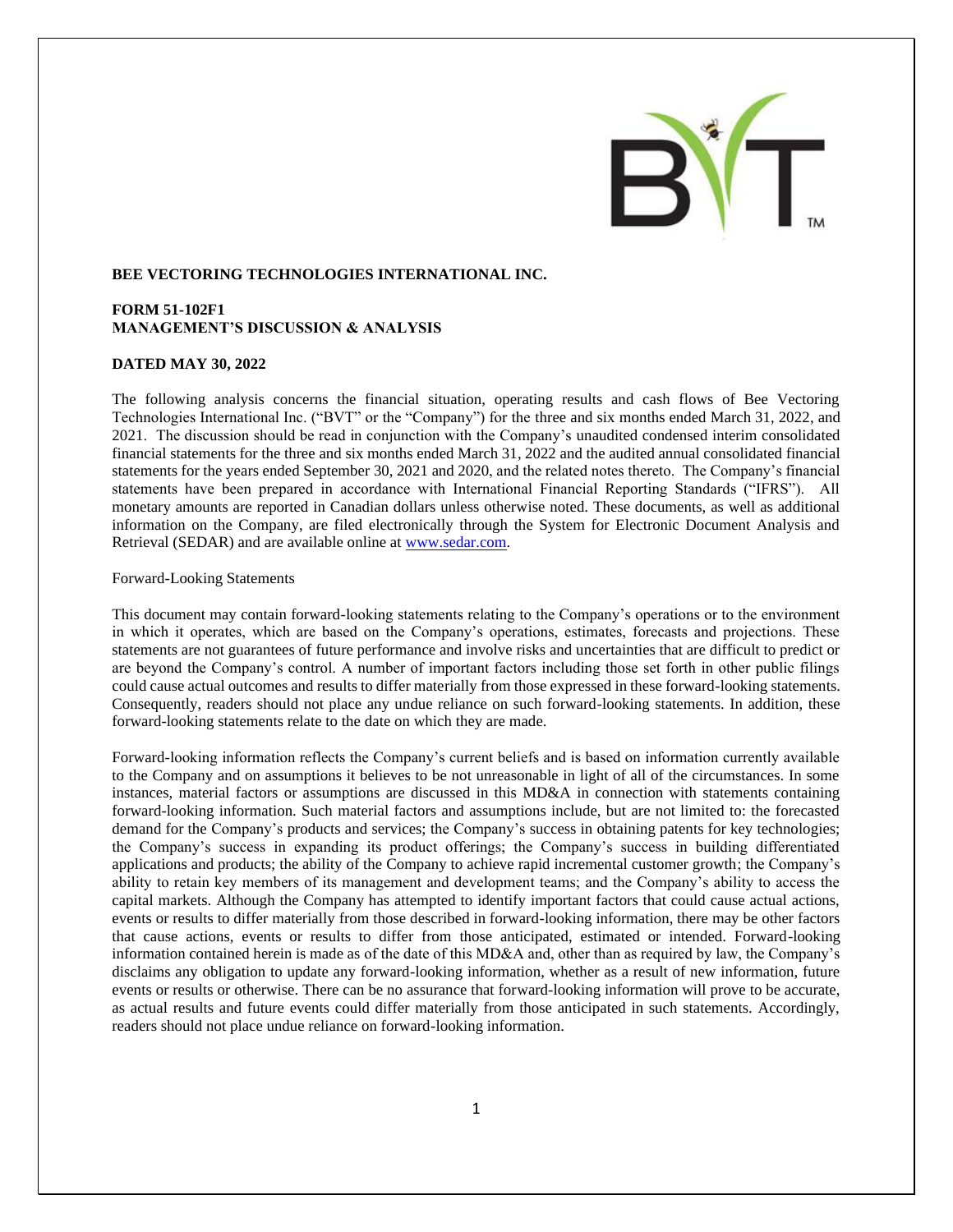

# **BEE VECTORING TECHNOLOGIES INTERNATIONAL INC.**

# **FORM 51-102F1 MANAGEMENT'S DISCUSSION & ANALYSIS**

# **DATED MAY 30, 2022**

The following analysis concerns the financial situation, operating results and cash flows of Bee Vectoring Technologies International Inc. ("BVT" or the "Company") for the three and six months ended March 31, 2022, and 2021. The discussion should be read in conjunction with the Company's unaudited condensed interim consolidated financial statements for the three and six months ended March 31, 2022 and the audited annual consolidated financial statements for the years ended September 30, 2021 and 2020, and the related notes thereto. The Company's financial statements have been prepared in accordance with International Financial Reporting Standards ("IFRS"). All monetary amounts are reported in Canadian dollars unless otherwise noted. These documents, as well as additional information on the Company, are filed electronically through the System for Electronic Document Analysis and Retrieval (SEDAR) and are available online at [www.sedar.com.](http://www.sedar.com/)

#### Forward-Looking Statements

This document may contain forward-looking statements relating to the Company's operations or to the environment in which it operates, which are based on the Company's operations, estimates, forecasts and projections. These statements are not guarantees of future performance and involve risks and uncertainties that are difficult to predict or are beyond the Company's control. A number of important factors including those set forth in other public filings could cause actual outcomes and results to differ materially from those expressed in these forward-looking statements. Consequently, readers should not place any undue reliance on such forward-looking statements. In addition, these forward-looking statements relate to the date on which they are made.

Forward-looking information reflects the Company's current beliefs and is based on information currently available to the Company and on assumptions it believes to be not unreasonable in light of all of the circumstances. In some instances, material factors or assumptions are discussed in this MD&A in connection with statements containing forward-looking information. Such material factors and assumptions include, but are not limited to: the forecasted demand for the Company's products and services; the Company's success in obtaining patents for key technologies; the Company's success in expanding its product offerings; the Company's success in building differentiated applications and products; the ability of the Company to achieve rapid incremental customer growth; the Company's ability to retain key members of its management and development teams; and the Company's ability to access the capital markets. Although the Company has attempted to identify important factors that could cause actual actions, events or results to differ materially from those described in forward-looking information, there may be other factors that cause actions, events or results to differ from those anticipated, estimated or intended. Forward-looking information contained herein is made as of the date of this MD&A and, other than as required by law, the Company's disclaims any obligation to update any forward-looking information, whether as a result of new information, future events or results or otherwise. There can be no assurance that forward-looking information will prove to be accurate, as actual results and future events could differ materially from those anticipated in such statements. Accordingly, readers should not place undue reliance on forward-looking information.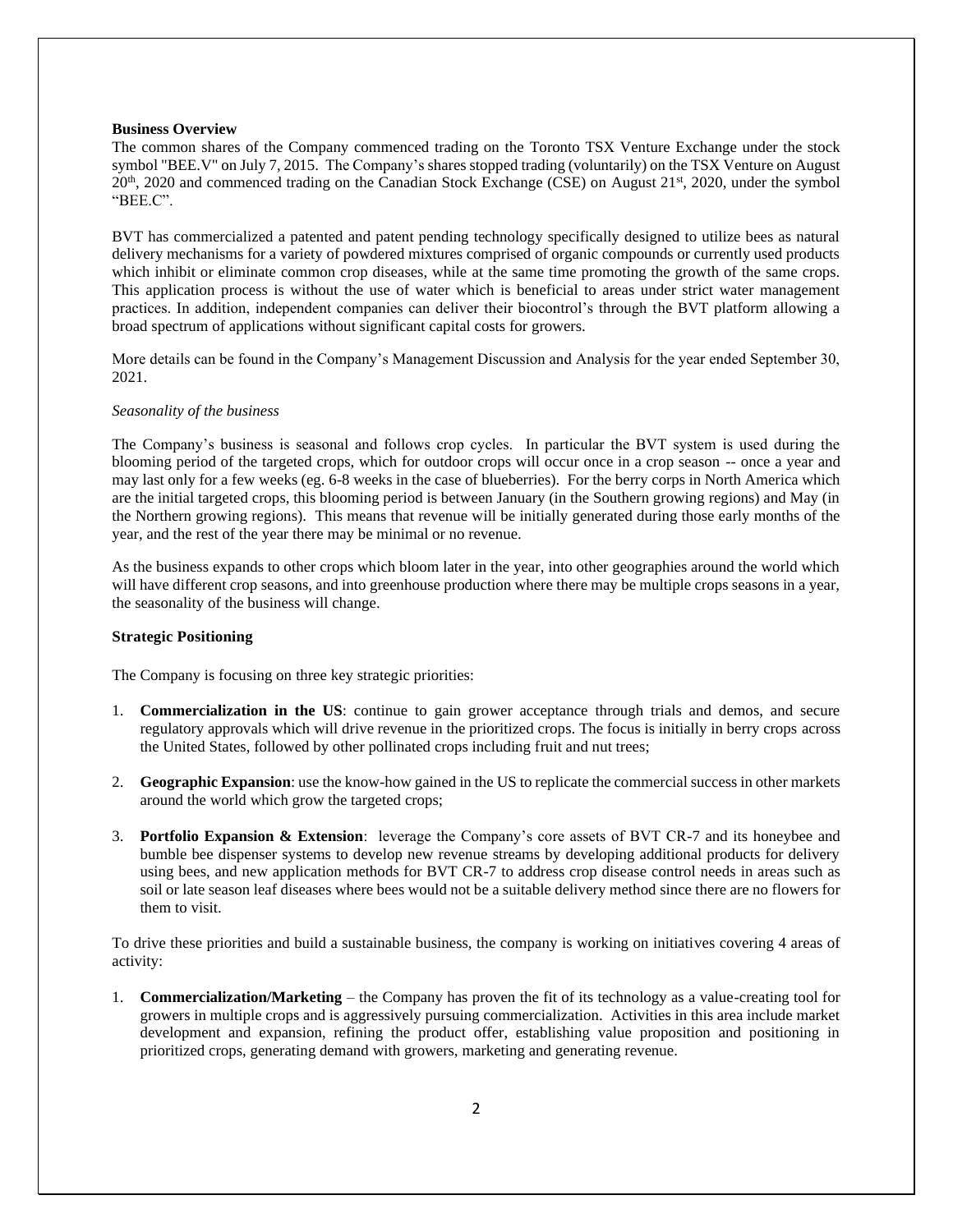# **Business Overview**

The common shares of the Company commenced trading on the Toronto TSX Venture Exchange under the stock symbol "BEE.V" on July 7, 2015. The Company's shares stopped trading (voluntarily) on the TSX Venture on August 20<sup>th</sup>, 2020 and commenced trading on the Canadian Stock Exchange (CSE) on August 21<sup>st</sup>, 2020, under the symbol "BEE.C".

BVT has commercialized a patented and patent pending technology specifically designed to utilize bees as natural delivery mechanisms for a variety of powdered mixtures comprised of organic compounds or currently used products which inhibit or eliminate common crop diseases, while at the same time promoting the growth of the same crops. This application process is without the use of water which is beneficial to areas under strict water management practices. In addition, independent companies can deliver their biocontrol's through the BVT platform allowing a broad spectrum of applications without significant capital costs for growers.

More details can be found in the Company's Management Discussion and Analysis for the year ended September 30, 2021.

## *Seasonality of the business*

The Company's business is seasonal and follows crop cycles. In particular the BVT system is used during the blooming period of the targeted crops, which for outdoor crops will occur once in a crop season -- once a year and may last only for a few weeks (eg. 6-8 weeks in the case of blueberries). For the berry corps in North America which are the initial targeted crops, this blooming period is between January (in the Southern growing regions) and May (in the Northern growing regions). This means that revenue will be initially generated during those early months of the year, and the rest of the year there may be minimal or no revenue.

As the business expands to other crops which bloom later in the year, into other geographies around the world which will have different crop seasons, and into greenhouse production where there may be multiple crops seasons in a year, the seasonality of the business will change.

## **Strategic Positioning**

The Company is focusing on three key strategic priorities:

- 1. **Commercialization in the US**: continue to gain grower acceptance through trials and demos, and secure regulatory approvals which will drive revenue in the prioritized crops. The focus is initially in berry crops across the United States, followed by other pollinated crops including fruit and nut trees;
- 2. **Geographic Expansion**: use the know-how gained in the US to replicate the commercial success in other markets around the world which grow the targeted crops;
- 3. **Portfolio Expansion & Extension**: leverage the Company's core assets of BVT CR-7 and its honeybee and bumble bee dispenser systems to develop new revenue streams by developing additional products for delivery using bees, and new application methods for BVT CR-7 to address crop disease control needs in areas such as soil or late season leaf diseases where bees would not be a suitable delivery method since there are no flowers for them to visit.

To drive these priorities and build a sustainable business, the company is working on initiatives covering 4 areas of activity:

1. **Commercialization/Marketing** – the Company has proven the fit of its technology as a value-creating tool for growers in multiple crops and is aggressively pursuing commercialization. Activities in this area include market development and expansion, refining the product offer, establishing value proposition and positioning in prioritized crops, generating demand with growers, marketing and generating revenue.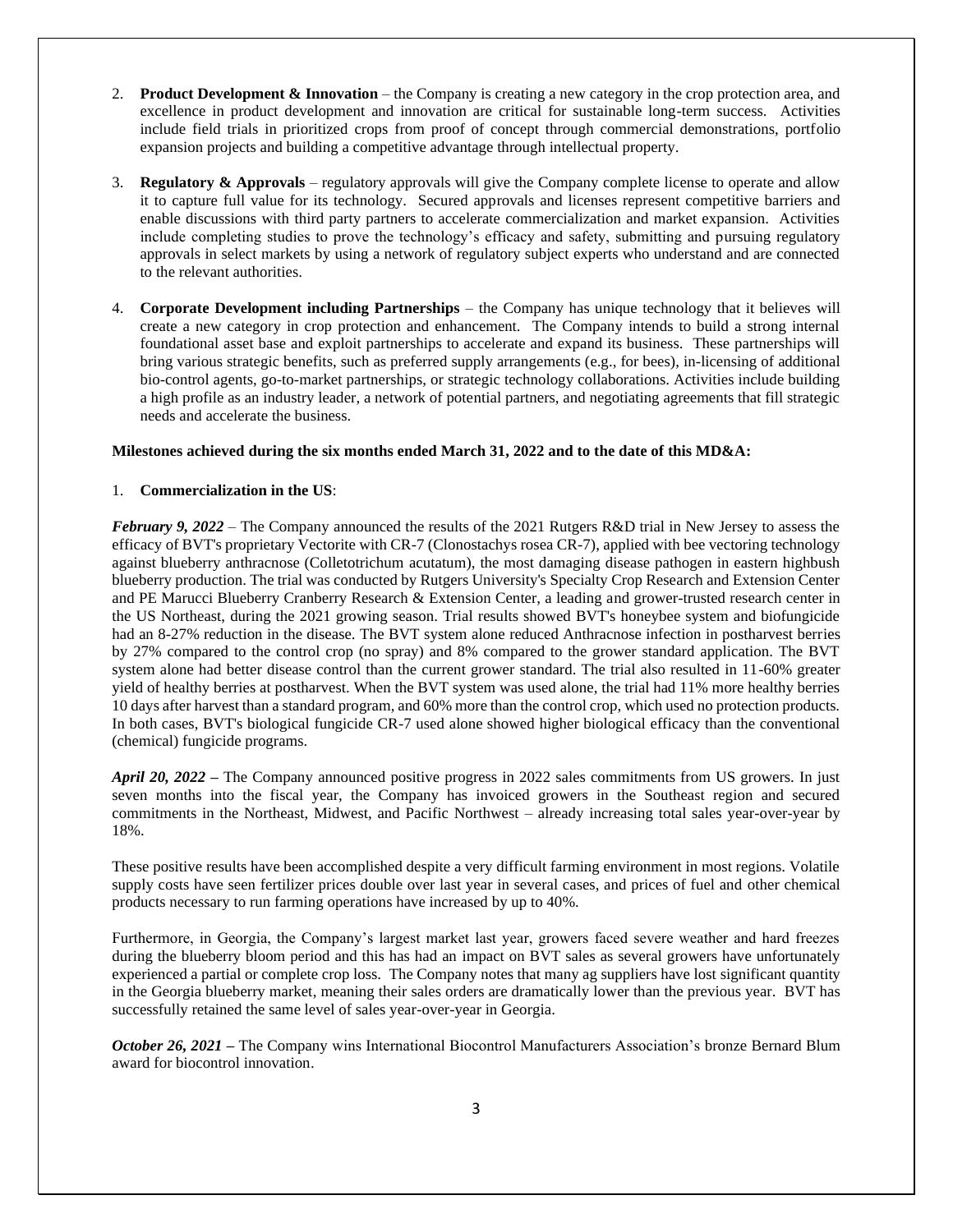- 2. **Product Development & Innovation** the Company is creating a new category in the crop protection area, and excellence in product development and innovation are critical for sustainable long-term success. Activities include field trials in prioritized crops from proof of concept through commercial demonstrations, portfolio expansion projects and building a competitive advantage through intellectual property.
- 3. **Regulatory & Approvals** regulatory approvals will give the Company complete license to operate and allow it to capture full value for its technology. Secured approvals and licenses represent competitive barriers and enable discussions with third party partners to accelerate commercialization and market expansion. Activities include completing studies to prove the technology's efficacy and safety, submitting and pursuing regulatory approvals in select markets by using a network of regulatory subject experts who understand and are connected to the relevant authorities.
- 4. **Corporate Development including Partnerships** the Company has unique technology that it believes will create a new category in crop protection and enhancement. The Company intends to build a strong internal foundational asset base and exploit partnerships to accelerate and expand its business. These partnerships will bring various strategic benefits, such as preferred supply arrangements (e.g., for bees), in-licensing of additional bio-control agents, go-to-market partnerships, or strategic technology collaborations. Activities include building a high profile as an industry leader, a network of potential partners, and negotiating agreements that fill strategic needs and accelerate the business.

# **Milestones achieved during the six months ended March 31, 2022 and to the date of this MD&A:**

# 1. **Commercialization in the US**:

*February 9, 2022* – The Company announced the results of the 2021 Rutgers R&D trial in New Jersey to assess the efficacy of BVT's proprietary Vectorite with CR-7 (Clonostachys rosea CR-7), applied with bee vectoring technology against blueberry anthracnose (Colletotrichum acutatum), the most damaging disease pathogen in eastern highbush blueberry production. The trial was conducted by Rutgers University's Specialty Crop Research and Extension Center and PE Marucci Blueberry Cranberry Research & Extension Center, a leading and grower-trusted research center in the US Northeast, during the 2021 growing season. Trial results showed BVT's honeybee system and biofungicide had an 8-27% reduction in the disease. The BVT system alone reduced Anthracnose infection in postharvest berries by 27% compared to the control crop (no spray) and 8% compared to the grower standard application. The BVT system alone had better disease control than the current grower standard. The trial also resulted in 11-60% greater yield of healthy berries at postharvest. When the BVT system was used alone, the trial had 11% more healthy berries 10 days after harvest than a standard program, and 60% more than the control crop, which used no protection products. In both cases, BVT's biological fungicide CR-7 used alone showed higher biological efficacy than the conventional (chemical) fungicide programs.

*April 20, 2022 –* The Company announced positive progress in 2022 sales commitments from US growers. In just seven months into the fiscal year, the Company has invoiced growers in the Southeast region and secured commitments in the Northeast, Midwest, and Pacific Northwest – already increasing total sales year-over-year by 18%.

These positive results have been accomplished despite a very difficult farming environment in most regions. Volatile supply costs have seen fertilizer prices double over last year in several cases, and prices of fuel and other chemical products necessary to run farming operations have increased by up to 40%.

Furthermore, in Georgia, the Company's largest market last year, growers faced severe weather and hard freezes during the blueberry bloom period and this has had an impact on BVT sales as several growers have unfortunately experienced a partial or complete crop loss. The Company notes that many ag suppliers have lost significant quantity in the Georgia blueberry market, meaning their sales orders are dramatically lower than the previous year. BVT has successfully retained the same level of sales year-over-year in Georgia.

*October 26, 2021 –* The Company wins International Biocontrol Manufacturers Association's bronze Bernard Blum award for biocontrol innovation.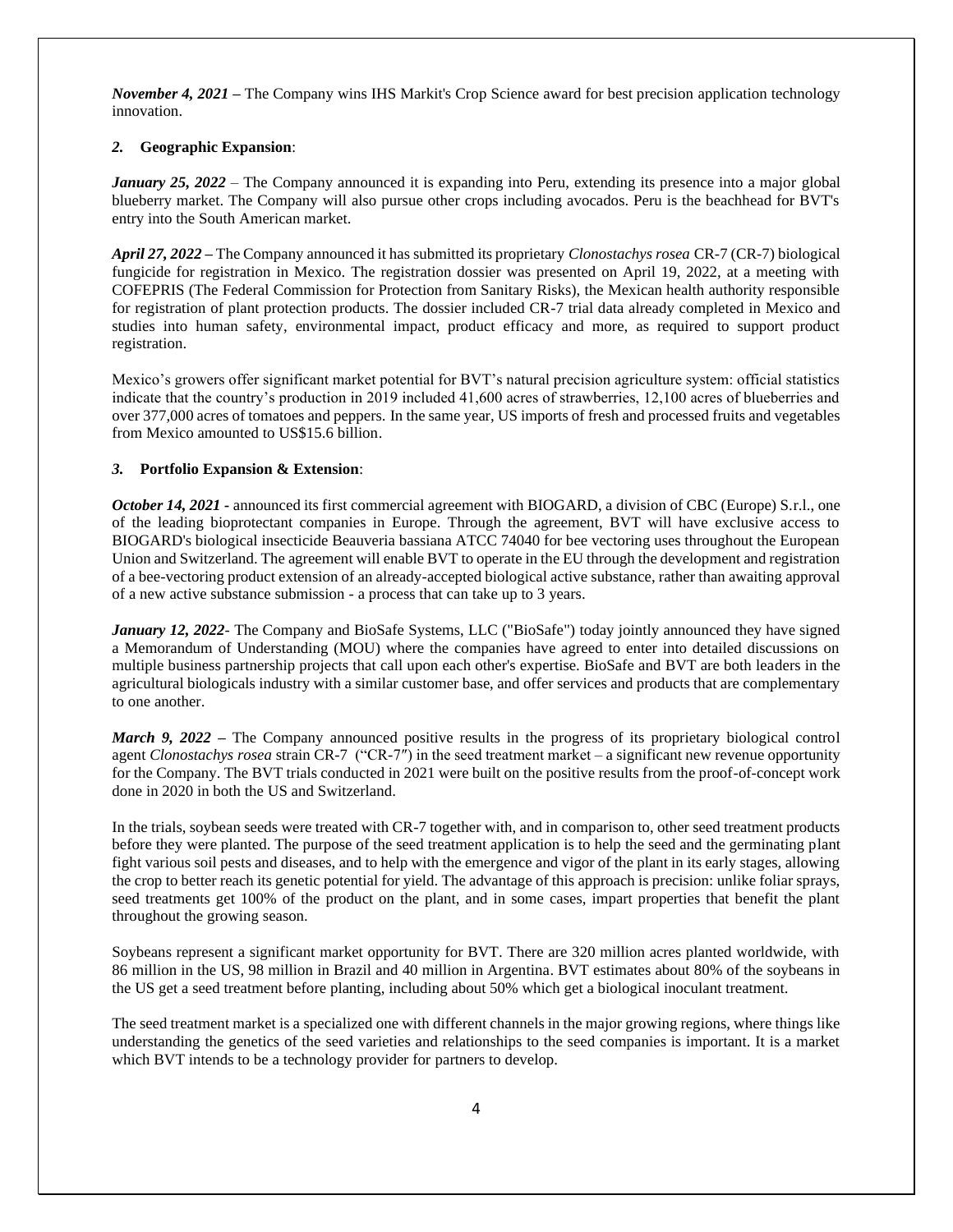*November 4, 2021* – The Company wins IHS Markit's Crop Science award for best precision application technology innovation.

## *2.* **Geographic Expansion**:

*January 25, 2022* – The Company announced it is expanding into Peru, extending its presence into a major global blueberry market. The Company will also pursue other crops including avocados. Peru is the beachhead for BVT's entry into the South American market.

*April 27, 2022 –* The Company announced it has submitted its proprietary *Clonostachys rosea* CR-7 (CR-7) biological fungicide for registration in Mexico. The registration dossier was presented on April 19, 2022, at a meeting with COFEPRIS (The Federal Commission for Protection from Sanitary Risks), the Mexican health authority responsible for registration of plant protection products. The dossier included CR-7 trial data already completed in Mexico and studies into human safety, environmental impact, product efficacy and more, as required to support product registration.

Mexico's growers offer significant market potential for BVT's natural precision agriculture system: official statistics indicate that the country's production in 2019 included 41,600 acres of strawberries, 12,100 acres of blueberries and over 377,000 acres of tomatoes and peppers. In the same year, US imports of fresh and processed fruits and vegetables from Mexico amounted to US\$15.6 billion.

# *3.* **Portfolio Expansion & Extension**:

*October 14, 2021 -* announced its first commercial agreement with BIOGARD, a division of CBC (Europe) S.r.l., one of the leading bioprotectant companies in Europe. Through the agreement, BVT will have exclusive access to BIOGARD's biological insecticide Beauveria bassiana ATCC 74040 for bee vectoring uses throughout the European Union and Switzerland. The agreement will enable BVT to operate in the EU through the development and registration of a bee-vectoring product extension of an already-accepted biological active substance, rather than awaiting approval of a new active substance submission - a process that can take up to 3 years.

*January 12, 2022*- The Company and BioSafe Systems, LLC ("BioSafe") today jointly announced they have signed a Memorandum of Understanding (MOU) where the companies have agreed to enter into detailed discussions on multiple business partnership projects that call upon each other's expertise. BioSafe and BVT are both leaders in the agricultural biologicals industry with a similar customer base, and offer services and products that are complementary to one another.

*March 9, 2022 –* The Company announced positive results in the progress of its proprietary biological control agent *Clonostachys rosea* strain CR-7 ("CR-7″) in the seed treatment market – a significant new revenue opportunity for the Company. The BVT trials conducted in 2021 were built on the positive results from the proof-of-concept work done in 2020 in both the US and Switzerland.

In the trials, soybean seeds were treated with CR-7 together with, and in comparison to, other seed treatment products before they were planted. The purpose of the seed treatment application is to help the seed and the germinating plant fight various soil pests and diseases, and to help with the emergence and vigor of the plant in its early stages, allowing the crop to better reach its genetic potential for yield. The advantage of this approach is precision: unlike foliar sprays, seed treatments get 100% of the product on the plant, and in some cases, impart properties that benefit the plant throughout the growing season.

Soybeans represent a significant market opportunity for BVT. There are 320 million acres planted worldwide, with 86 million in the US, 98 million in Brazil and 40 million in Argentina. BVT estimates about 80% of the soybeans in the US get a seed treatment before planting, including about 50% which get a biological inoculant treatment.

The seed treatment market is a specialized one with different channels in the major growing regions, where things like understanding the genetics of the seed varieties and relationships to the seed companies is important. It is a market which BVT intends to be a technology provider for partners to develop.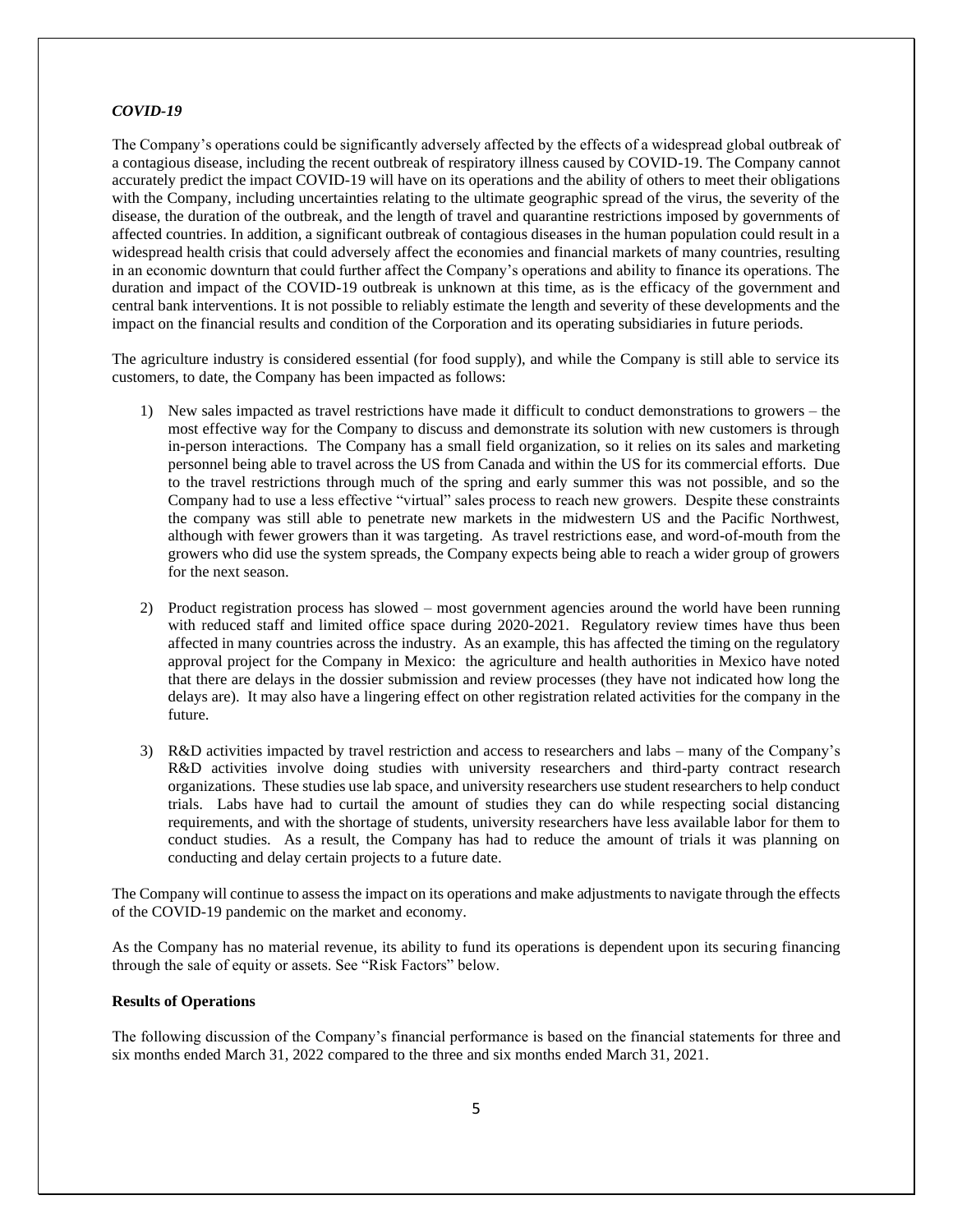# *COVID-19*

The Company's operations could be significantly adversely affected by the effects of a widespread global outbreak of a contagious disease, including the recent outbreak of respiratory illness caused by COVID-19. The Company cannot accurately predict the impact COVID-19 will have on its operations and the ability of others to meet their obligations with the Company, including uncertainties relating to the ultimate geographic spread of the virus, the severity of the disease, the duration of the outbreak, and the length of travel and quarantine restrictions imposed by governments of affected countries. In addition, a significant outbreak of contagious diseases in the human population could result in a widespread health crisis that could adversely affect the economies and financial markets of many countries, resulting in an economic downturn that could further affect the Company's operations and ability to finance its operations. The duration and impact of the COVID-19 outbreak is unknown at this time, as is the efficacy of the government and central bank interventions. It is not possible to reliably estimate the length and severity of these developments and the impact on the financial results and condition of the Corporation and its operating subsidiaries in future periods.

The agriculture industry is considered essential (for food supply), and while the Company is still able to service its customers, to date, the Company has been impacted as follows:

- 1) New sales impacted as travel restrictions have made it difficult to conduct demonstrations to growers the most effective way for the Company to discuss and demonstrate its solution with new customers is through in-person interactions. The Company has a small field organization, so it relies on its sales and marketing personnel being able to travel across the US from Canada and within the US for its commercial efforts. Due to the travel restrictions through much of the spring and early summer this was not possible, and so the Company had to use a less effective "virtual" sales process to reach new growers. Despite these constraints the company was still able to penetrate new markets in the midwestern US and the Pacific Northwest, although with fewer growers than it was targeting. As travel restrictions ease, and word-of-mouth from the growers who did use the system spreads, the Company expects being able to reach a wider group of growers for the next season.
- 2) Product registration process has slowed most government agencies around the world have been running with reduced staff and limited office space during 2020-2021. Regulatory review times have thus been affected in many countries across the industry. As an example, this has affected the timing on the regulatory approval project for the Company in Mexico: the agriculture and health authorities in Mexico have noted that there are delays in the dossier submission and review processes (they have not indicated how long the delays are). It may also have a lingering effect on other registration related activities for the company in the future.
- 3) R&D activities impacted by travel restriction and access to researchers and labs many of the Company's R&D activities involve doing studies with university researchers and third-party contract research organizations. These studies use lab space, and university researchers use student researchers to help conduct trials. Labs have had to curtail the amount of studies they can do while respecting social distancing requirements, and with the shortage of students, university researchers have less available labor for them to conduct studies. As a result, the Company has had to reduce the amount of trials it was planning on conducting and delay certain projects to a future date.

The Company will continue to assess the impact on its operations and make adjustments to navigate through the effects of the COVID-19 pandemic on the market and economy.

As the Company has no material revenue, its ability to fund its operations is dependent upon its securing financing through the sale of equity or assets. See "Risk Factors" below.

# **Results of Operations**

The following discussion of the Company's financial performance is based on the financial statements for three and six months ended March 31, 2022 compared to the three and six months ended March 31, 2021.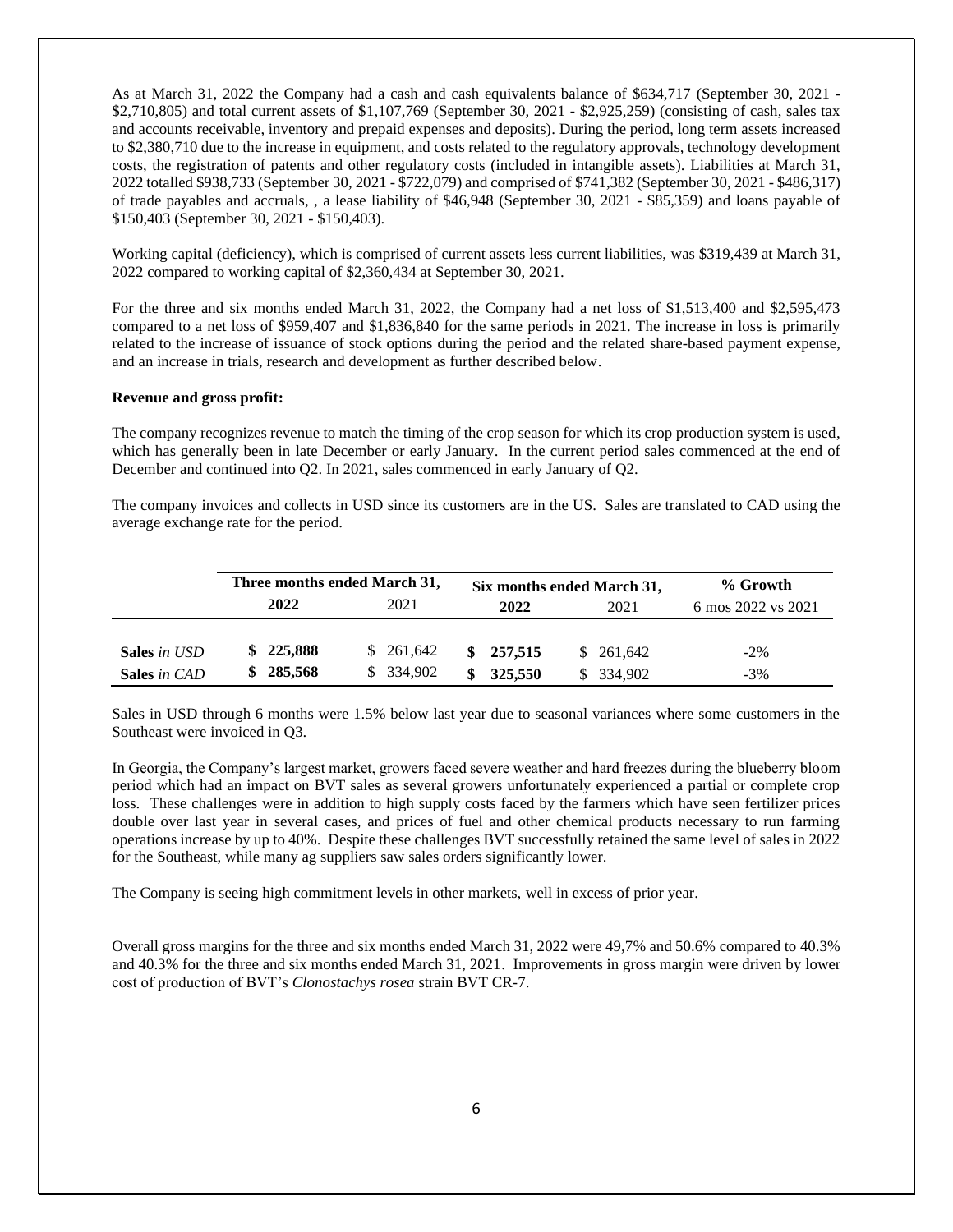As at March 31, 2022 the Company had a cash and cash equivalents balance of \$634,717 (September 30, 2021 - \$2,710,805) and total current assets of \$1,107,769 (September 30, 2021 - \$2,925,259) (consisting of cash, sales tax and accounts receivable, inventory and prepaid expenses and deposits). During the period, long term assets increased to \$2,380,710 due to the increase in equipment, and costs related to the regulatory approvals, technology development costs, the registration of patents and other regulatory costs (included in intangible assets). Liabilities at March 31, 2022 totalled \$938,733 (September 30, 2021 - \$722,079) and comprised of \$741,382 (September 30, 2021 - \$486,317) of trade payables and accruals, , a lease liability of \$46,948 (September 30, 2021 - \$85,359) and loans payable of \$150,403 (September 30, 2021 - \$150,403).

Working capital (deficiency), which is comprised of current assets less current liabilities, was \$319,439 at March 31, 2022 compared to working capital of \$2,360,434 at September 30, 2021.

For the three and six months ended March 31, 2022, the Company had a net loss of \$1,513,400 and \$2,595,473 compared to a net loss of \$959,407 and \$1,836,840 for the same periods in 2021. The increase in loss is primarily related to the increase of issuance of stock options during the period and the related share-based payment expense, and an increase in trials, research and development as further described below.

#### **Revenue and gross profit:**

The company recognizes revenue to match the timing of the crop season for which its crop production system is used, which has generally been in late December or early January. In the current period sales commenced at the end of December and continued into Q2. In 2021, sales commenced in early January of Q2.

The company invoices and collects in USD since its customers are in the US. Sales are translated to CAD using the average exchange rate for the period.

|                     | Three months ended March 31, |           |                | Six months ended March 31, | % Growth           |  |
|---------------------|------------------------------|-----------|----------------|----------------------------|--------------------|--|
|                     | 2022                         | 2021      | 2022           | 2021                       | 6 mos 2022 vs 2021 |  |
|                     |                              |           |                |                            |                    |  |
| <b>Sales</b> in USD | \$225,888                    | \$261,642 | 257.515<br>SS. | \$261,642                  | $-2\%$             |  |
| Sales in CAD        | \$285,568                    | \$334,902 | 325,550        | \$ 334,902                 | $-3\%$             |  |

Sales in USD through 6 months were 1.5% below last year due to seasonal variances where some customers in the Southeast were invoiced in Q3.

In Georgia, the Company's largest market, growers faced severe weather and hard freezes during the blueberry bloom period which had an impact on BVT sales as several growers unfortunately experienced a partial or complete crop loss. These challenges were in addition to high supply costs faced by the farmers which have seen fertilizer prices double over last year in several cases, and prices of fuel and other chemical products necessary to run farming operations increase by up to 40%. Despite these challenges BVT successfully retained the same level of sales in 2022 for the Southeast, while many ag suppliers saw sales orders significantly lower.

The Company is seeing high commitment levels in other markets, well in excess of prior year.

Overall gross margins for the three and six months ended March 31, 2022 were 49,7% and 50.6% compared to 40.3% and 40.3% for the three and six months ended March 31, 2021. Improvements in gross margin were driven by lower cost of production of BVT's *Clonostachys rosea* strain BVT CR-7.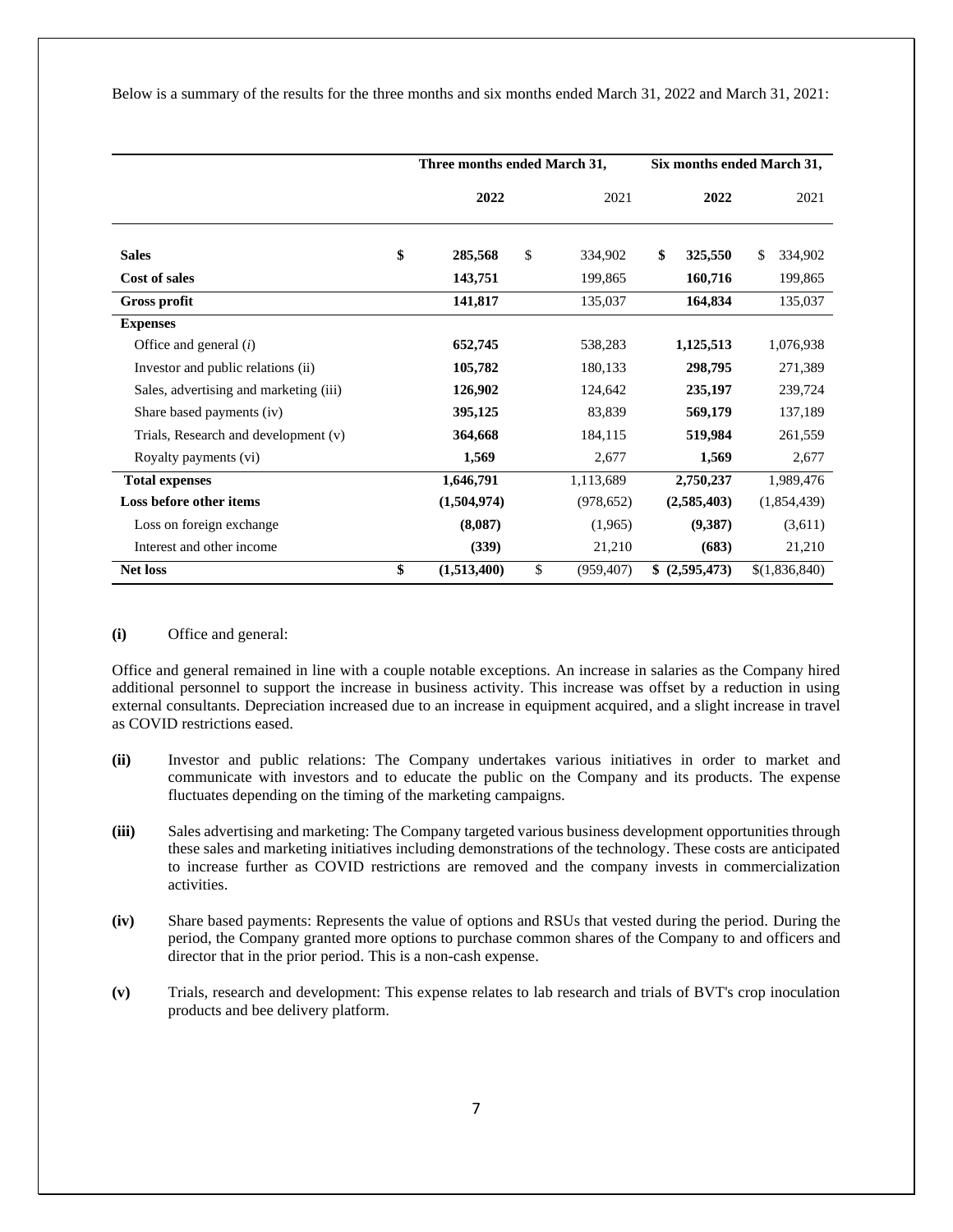Below is a summary of the results for the three months and six months ended March 31, 2022 and March 31, 2021:

|                                        | Three months ended March 31, |    |            | Six months ended March 31, |                |               |
|----------------------------------------|------------------------------|----|------------|----------------------------|----------------|---------------|
|                                        | 2022                         |    | 2021       |                            | 2022           | 2021          |
| <b>Sales</b>                           | \$<br>285,568                | \$ | 334,902    | \$                         | 325,550        | \$<br>334,902 |
| <b>Cost of sales</b>                   | 143,751                      |    | 199,865    |                            | 160,716        | 199,865       |
| <b>Gross profit</b>                    | 141,817                      |    | 135,037    |                            | 164,834        | 135,037       |
| <b>Expenses</b>                        |                              |    |            |                            |                |               |
| Office and general $(i)$               | 652,745                      |    | 538,283    |                            | 1,125,513      | 1,076,938     |
| Investor and public relations (ii)     | 105,782                      |    | 180,133    |                            | 298,795        | 271,389       |
| Sales, advertising and marketing (iii) | 126,902                      |    | 124,642    |                            | 235,197        | 239,724       |
| Share based payments (iv)              | 395,125                      |    | 83,839     |                            | 569,179        | 137,189       |
| Trials, Research and development (v)   | 364,668                      |    | 184,115    |                            | 519,984        | 261,559       |
| Royalty payments (vi)                  | 1,569                        |    | 2,677      |                            | 1,569          | 2,677         |
| <b>Total expenses</b>                  | 1,646,791                    |    | 1,113,689  |                            | 2,750,237      | 1,989,476     |
| Loss before other items                | (1,504,974)                  |    | (978, 652) |                            | (2,585,403)    | (1,854,439)   |
| Loss on foreign exchange               | (8,087)                      |    | (1,965)    |                            | (9,387)        | (3,611)       |
| Interest and other income              | (339)                        |    | 21,210     |                            | (683)          | 21,210        |
| <b>Net loss</b>                        | \$<br>(1,513,400)            | \$ | (959, 407) |                            | \$ (2,595,473) | \$(1,836,840) |

**(i)** Office and general:

Office and general remained in line with a couple notable exceptions. An increase in salaries as the Company hired additional personnel to support the increase in business activity. This increase was offset by a reduction in using external consultants. Depreciation increased due to an increase in equipment acquired, and a slight increase in travel as COVID restrictions eased.

- **(ii)** Investor and public relations: The Company undertakes various initiatives in order to market and communicate with investors and to educate the public on the Company and its products. The expense fluctuates depending on the timing of the marketing campaigns.
- **(iii)** Sales advertising and marketing: The Company targeted various business development opportunities through these sales and marketing initiatives including demonstrations of the technology. These costs are anticipated to increase further as COVID restrictions are removed and the company invests in commercialization activities.
- **(iv)** Share based payments: Represents the value of options and RSUs that vested during the period. During the period, the Company granted more options to purchase common shares of the Company to and officers and director that in the prior period. This is a non-cash expense.
- **(v)** Trials, research and development: This expense relates to lab research and trials of BVT's crop inoculation products and bee delivery platform.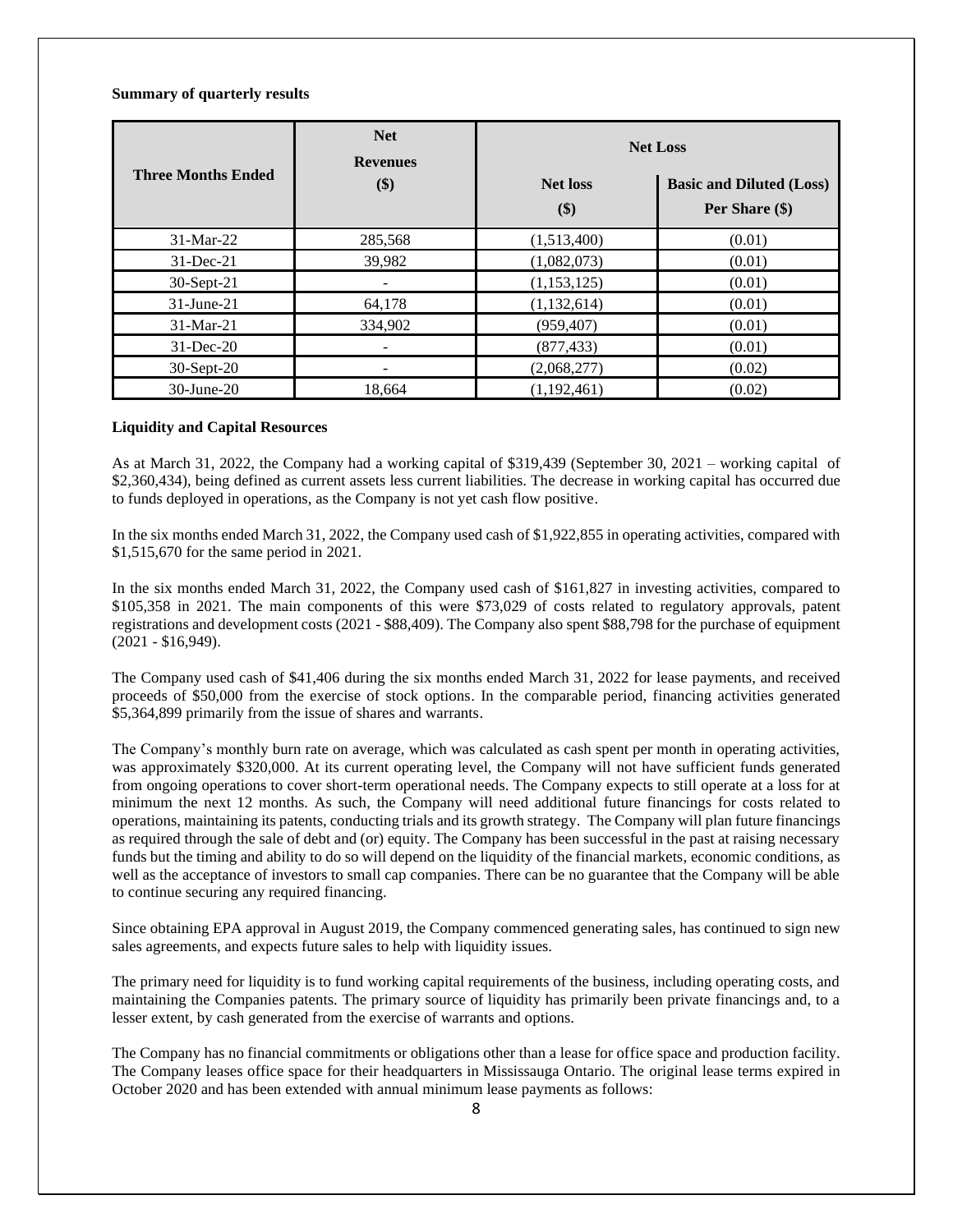# **Summary of quarterly results**

|                           | <b>Net</b><br><b>Revenues</b> | <b>Net Loss</b> |                                 |  |  |
|---------------------------|-------------------------------|-----------------|---------------------------------|--|--|
| <b>Three Months Ended</b> | \$)                           | <b>Net loss</b> | <b>Basic and Diluted (Loss)</b> |  |  |
|                           |                               | \$)             | Per Share (\$)                  |  |  |
| $31-Mar-22$               | 285,568                       | (1,513,400)     | (0.01)                          |  |  |
| $31$ -Dec-21              | 39,982                        | (1,082,073)     | (0.01)                          |  |  |
| 30-Sept-21                |                               | (1,153,125)     | (0.01)                          |  |  |
| $31$ -June-21             | 64,178                        | (1, 132, 614)   | (0.01)                          |  |  |
| $31-Mar-21$               | 334,902                       | (959, 407)      | (0.01)                          |  |  |
| $31$ -Dec-20              |                               | (877, 433)      | (0.01)                          |  |  |
| 30-Sept-20                |                               | (2,068,277)     | (0.02)                          |  |  |
| 30-June-20                | 18.664                        | (1,192,461)     | (0.02)                          |  |  |

# **Liquidity and Capital Resources**

As at March 31, 2022, the Company had a working capital of \$319,439 (September 30, 2021 – working capital of \$2,360,434), being defined as current assets less current liabilities. The decrease in working capital has occurred due to funds deployed in operations, as the Company is not yet cash flow positive.

In the six months ended March 31, 2022, the Company used cash of \$1,922,855 in operating activities, compared with \$1,515,670 for the same period in 2021.

In the six months ended March 31, 2022, the Company used cash of \$161,827 in investing activities, compared to \$105,358 in 2021. The main components of this were \$73,029 of costs related to regulatory approvals, patent registrations and development costs (2021 - \$88,409). The Company also spent \$88,798 for the purchase of equipment (2021 - \$16,949).

The Company used cash of \$41,406 during the six months ended March 31, 2022 for lease payments, and received proceeds of \$50,000 from the exercise of stock options. In the comparable period, financing activities generated \$5,364,899 primarily from the issue of shares and warrants.

The Company's monthly burn rate on average, which was calculated as cash spent per month in operating activities, was approximately \$320,000. At its current operating level, the Company will not have sufficient funds generated from ongoing operations to cover short-term operational needs. The Company expects to still operate at a loss for at minimum the next 12 months. As such, the Company will need additional future financings for costs related to operations, maintaining its patents, conducting trials and its growth strategy. The Company will plan future financings as required through the sale of debt and (or) equity. The Company has been successful in the past at raising necessary funds but the timing and ability to do so will depend on the liquidity of the financial markets, economic conditions, as well as the acceptance of investors to small cap companies. There can be no guarantee that the Company will be able to continue securing any required financing.

Since obtaining EPA approval in August 2019, the Company commenced generating sales, has continued to sign new sales agreements, and expects future sales to help with liquidity issues.

The primary need for liquidity is to fund working capital requirements of the business, including operating costs, and maintaining the Companies patents. The primary source of liquidity has primarily been private financings and, to a lesser extent, by cash generated from the exercise of warrants and options.

The Company has no financial commitments or obligations other than a lease for office space and production facility. The Company leases office space for their headquarters in Mississauga Ontario. The original lease terms expired in October 2020 and has been extended with annual minimum lease payments as follows: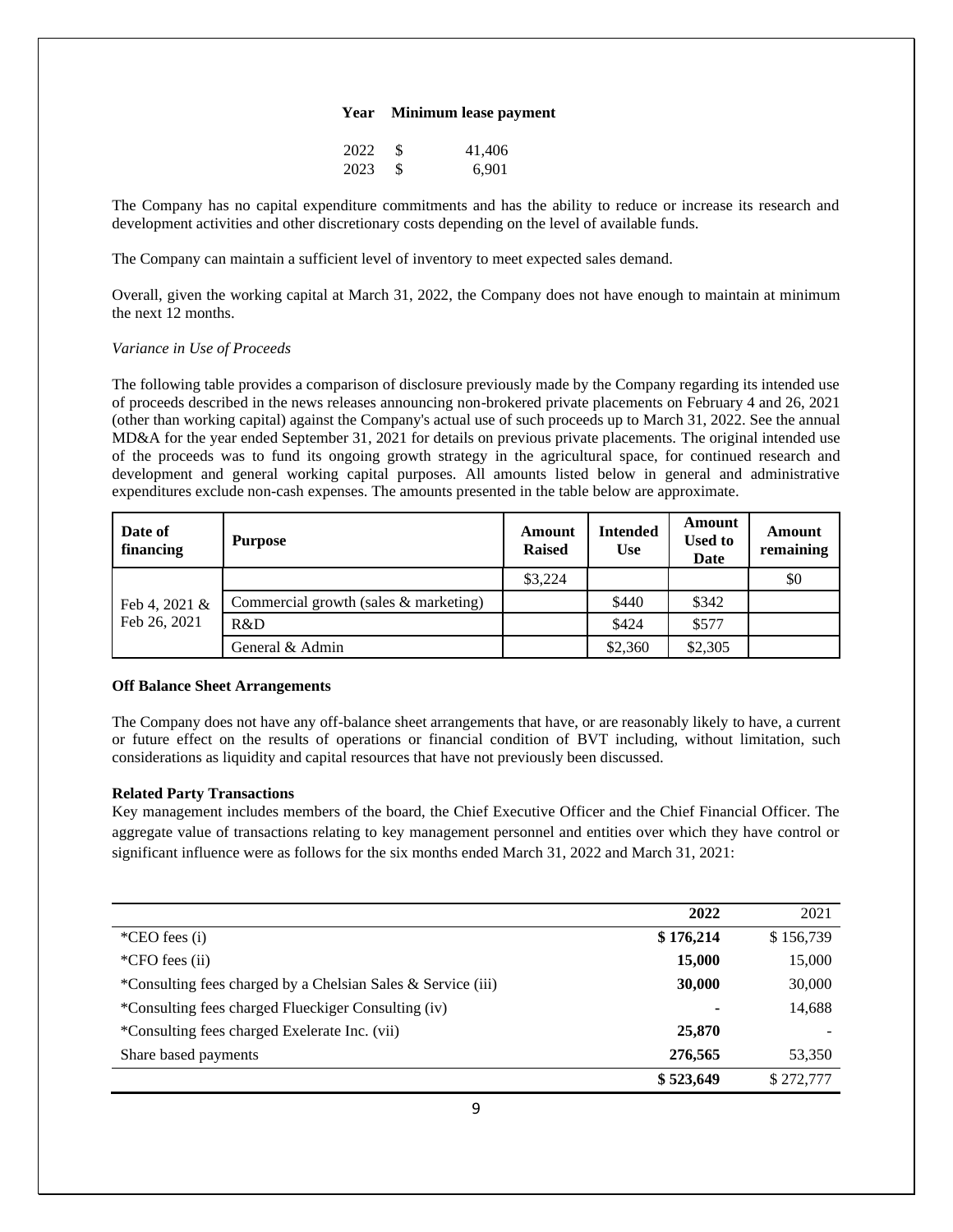# **Year Minimum lease payment**

| 2022 | -S  | 41,406 |
|------|-----|--------|
| 2023 | \$. | 6,901  |

The Company has no capital expenditure commitments and has the ability to reduce or increase its research and development activities and other discretionary costs depending on the level of available funds.

The Company can maintain a sufficient level of inventory to meet expected sales demand.

Overall, given the working capital at March 31, 2022, the Company does not have enough to maintain at minimum the next 12 months.

# *Variance in Use of Proceeds*

The following table provides a comparison of disclosure previously made by the Company regarding its intended use of proceeds described in the news releases announcing non-brokered private placements on February 4 and 26, 2021 (other than working capital) against the Company's actual use of such proceeds up to March 31, 2022. See the annual MD&A for the year ended September 31, 2021 for details on previous private placements. The original intended use of the proceeds was to fund its ongoing growth strategy in the agricultural space, for continued research and development and general working capital purposes. All amounts listed below in general and administrative expenditures exclude non-cash expenses. The amounts presented in the table below are approximate.

| Date of<br>financing          | <b>Purpose</b>                        | Amount<br><b>Raised</b> | Intended<br><b>Use</b> | Amount<br><b>Used to</b><br>Date | Amount<br>remaining |
|-------------------------------|---------------------------------------|-------------------------|------------------------|----------------------------------|---------------------|
| Feb 4, 2021 &<br>Feb 26, 2021 |                                       | \$3,224                 |                        |                                  | \$0                 |
|                               | Commercial growth (sales & marketing) |                         | \$440                  | \$342                            |                     |
|                               | R&D                                   |                         | \$424                  | \$577                            |                     |
|                               | General & Admin                       |                         | \$2,360                | \$2,305                          |                     |

## **Off Balance Sheet Arrangements**

The Company does not have any off-balance sheet arrangements that have, or are reasonably likely to have, a current or future effect on the results of operations or financial condition of BVT including, without limitation, such considerations as liquidity and capital resources that have not previously been discussed.

# **Related Party Transactions**

Key management includes members of the board, the Chief Executive Officer and the Chief Financial Officer. The aggregate value of transactions relating to key management personnel and entities over which they have control or significant influence were as follows for the six months ended March 31, 2022 and March 31, 2021:

|                                                              | 2022      | 2021      |
|--------------------------------------------------------------|-----------|-----------|
| ${}^*$ CEO fees (i)                                          | \$176,214 | \$156,739 |
| *CFO fees (ii)                                               | 15,000    | 15,000    |
| *Consulting fees charged by a Chelsian Sales & Service (iii) | 30,000    | 30,000    |
| *Consulting fees charged Flueckiger Consulting (iv)          |           | 14,688    |
| *Consulting fees charged Exelerate Inc. (vii)                | 25,870    |           |
| Share based payments                                         | 276,565   | 53,350    |
|                                                              | \$523,649 | \$272,777 |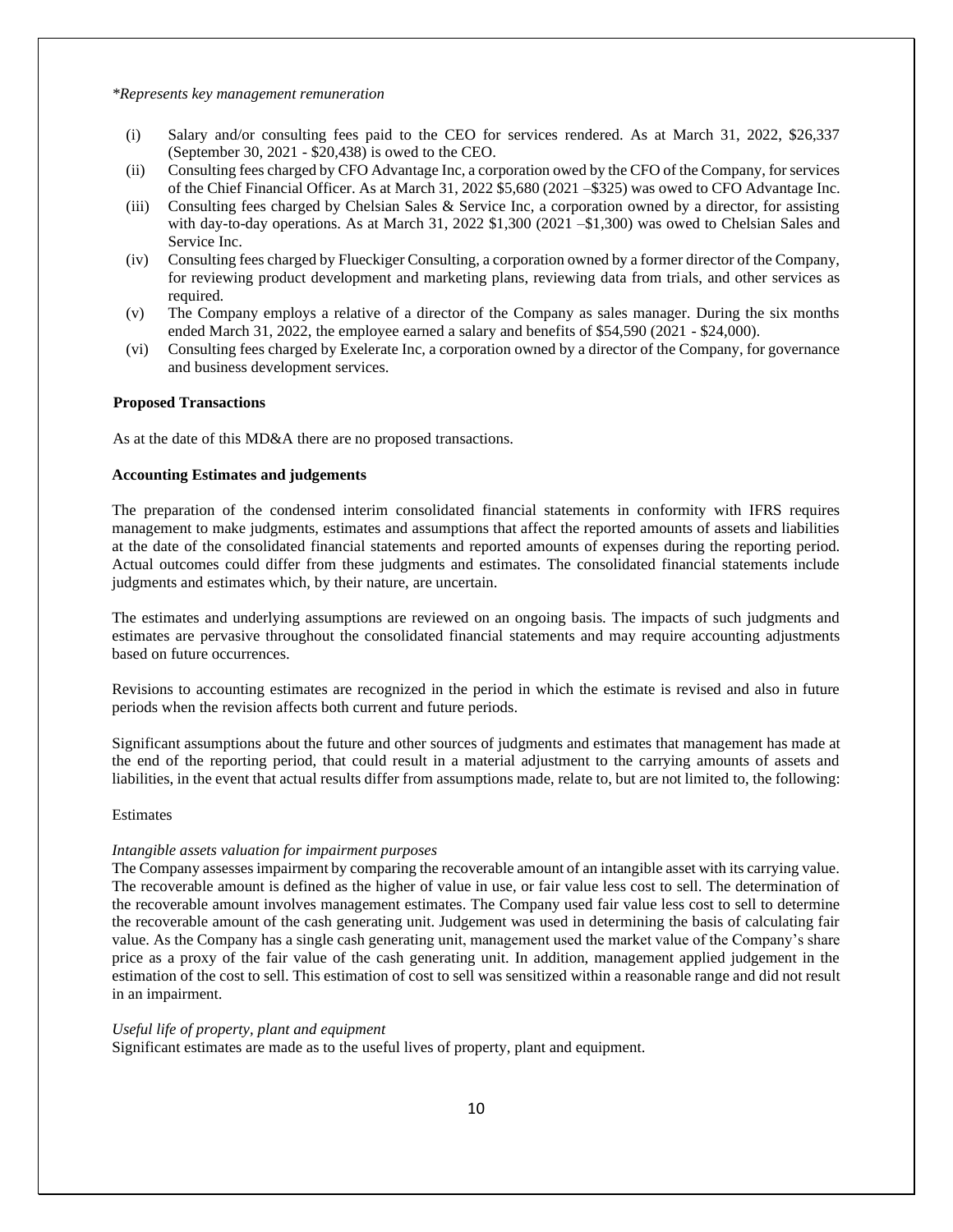*\*Represents key management remuneration*

- (i) Salary and/or consulting fees paid to the CEO for services rendered. As at March 31, 2022, \$26,337 (September 30, 2021 - \$20,438) is owed to the CEO.
- (ii) Consulting fees charged by CFO Advantage Inc, a corporation owed by the CFO of the Company, for services of the Chief Financial Officer. As at March 31, 2022 \$5,680 (2021 –\$325) was owed to CFO Advantage Inc.
- (iii) Consulting fees charged by Chelsian Sales & Service Inc, a corporation owned by a director, for assisting with day-to-day operations. As at March 31, 2022 \$1,300 (2021 –\$1,300) was owed to Chelsian Sales and Service Inc.
- (iv) Consulting fees charged by Flueckiger Consulting, a corporation owned by a former director of the Company, for reviewing product development and marketing plans, reviewing data from trials, and other services as required.
- (v) The Company employs a relative of a director of the Company as sales manager. During the six months ended March 31, 2022, the employee earned a salary and benefits of \$54,590 (2021 - \$24,000).
- (vi) Consulting fees charged by Exelerate Inc, a corporation owned by a director of the Company, for governance and business development services.

## **Proposed Transactions**

As at the date of this MD&A there are no proposed transactions.

# **Accounting Estimates and judgements**

The preparation of the condensed interim consolidated financial statements in conformity with IFRS requires management to make judgments, estimates and assumptions that affect the reported amounts of assets and liabilities at the date of the consolidated financial statements and reported amounts of expenses during the reporting period. Actual outcomes could differ from these judgments and estimates. The consolidated financial statements include judgments and estimates which, by their nature, are uncertain.

The estimates and underlying assumptions are reviewed on an ongoing basis. The impacts of such judgments and estimates are pervasive throughout the consolidated financial statements and may require accounting adjustments based on future occurrences.

Revisions to accounting estimates are recognized in the period in which the estimate is revised and also in future periods when the revision affects both current and future periods.

Significant assumptions about the future and other sources of judgments and estimates that management has made at the end of the reporting period, that could result in a material adjustment to the carrying amounts of assets and liabilities, in the event that actual results differ from assumptions made, relate to, but are not limited to, the following:

### Estimates

### *Intangible assets valuation for impairment purposes*

The Company assesses impairment by comparing the recoverable amount of an intangible asset with its carrying value. The recoverable amount is defined as the higher of value in use, or fair value less cost to sell. The determination of the recoverable amount involves management estimates. The Company used fair value less cost to sell to determine the recoverable amount of the cash generating unit. Judgement was used in determining the basis of calculating fair value. As the Company has a single cash generating unit, management used the market value of the Company's share price as a proxy of the fair value of the cash generating unit. In addition, management applied judgement in the estimation of the cost to sell. This estimation of cost to sell was sensitized within a reasonable range and did not result in an impairment.

#### *Useful life of property, plant and equipment*

Significant estimates are made as to the useful lives of property, plant and equipment.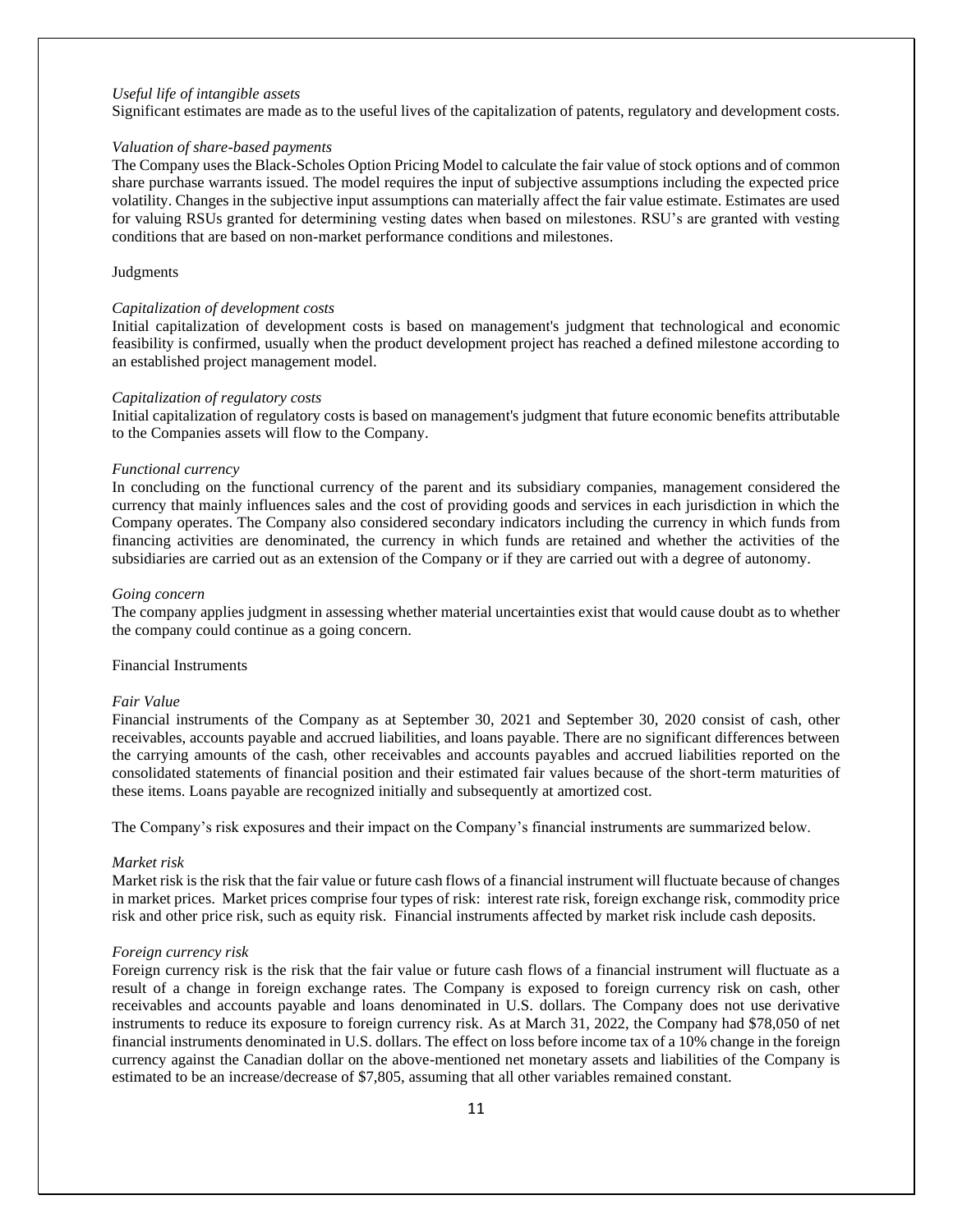# *Useful life of intangible assets*

Significant estimates are made as to the useful lives of the capitalization of patents, regulatory and development costs.

#### *Valuation of share-based payments*

The Company uses the Black-Scholes Option Pricing Model to calculate the fair value of stock options and of common share purchase warrants issued. The model requires the input of subjective assumptions including the expected price volatility. Changes in the subjective input assumptions can materially affect the fair value estimate. Estimates are used for valuing RSUs granted for determining vesting dates when based on milestones. RSU's are granted with vesting conditions that are based on non-market performance conditions and milestones.

## Judgments

#### *Capitalization of development costs*

Initial capitalization of development costs is based on management's judgment that technological and economic feasibility is confirmed, usually when the product development project has reached a defined milestone according to an established project management model.

## *Capitalization of regulatory costs*

Initial capitalization of regulatory costs is based on management's judgment that future economic benefits attributable to the Companies assets will flow to the Company.

### *Functional currency*

In concluding on the functional currency of the parent and its subsidiary companies, management considered the currency that mainly influences sales and the cost of providing goods and services in each jurisdiction in which the Company operates. The Company also considered secondary indicators including the currency in which funds from financing activities are denominated, the currency in which funds are retained and whether the activities of the subsidiaries are carried out as an extension of the Company or if they are carried out with a degree of autonomy.

#### *Going concern*

The company applies judgment in assessing whether material uncertainties exist that would cause doubt as to whether the company could continue as a going concern.

# Financial Instruments

#### *Fair Value*

Financial instruments of the Company as at September 30, 2021 and September 30, 2020 consist of cash, other receivables, accounts payable and accrued liabilities, and loans payable. There are no significant differences between the carrying amounts of the cash, other receivables and accounts payables and accrued liabilities reported on the consolidated statements of financial position and their estimated fair values because of the short-term maturities of these items. Loans payable are recognized initially and subsequently at amortized cost.

The Company's risk exposures and their impact on the Company's financial instruments are summarized below.

# *Market risk*

Market risk is the risk that the fair value or future cash flows of a financial instrument will fluctuate because of changes in market prices. Market prices comprise four types of risk: interest rate risk, foreign exchange risk, commodity price risk and other price risk, such as equity risk. Financial instruments affected by market risk include cash deposits.

#### *Foreign currency risk*

Foreign currency risk is the risk that the fair value or future cash flows of a financial instrument will fluctuate as a result of a change in foreign exchange rates. The Company is exposed to foreign currency risk on cash, other receivables and accounts payable and loans denominated in U.S. dollars. The Company does not use derivative instruments to reduce its exposure to foreign currency risk. As at March 31, 2022, the Company had \$78,050 of net financial instruments denominated in U.S. dollars. The effect on loss before income tax of a 10% change in the foreign currency against the Canadian dollar on the above-mentioned net monetary assets and liabilities of the Company is estimated to be an increase/decrease of \$7,805, assuming that all other variables remained constant.